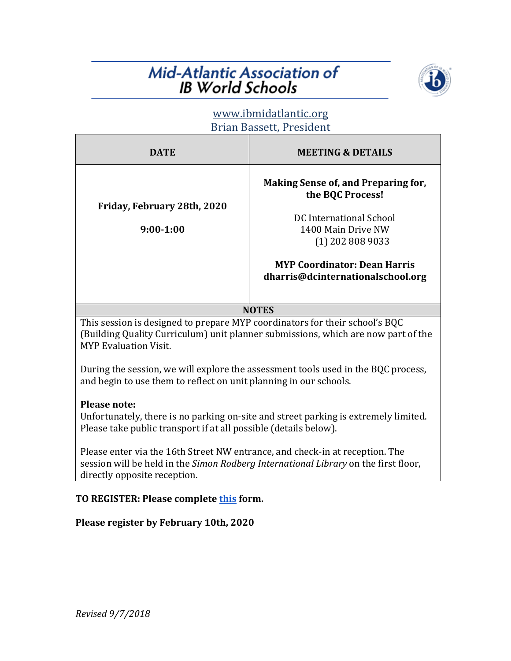# **Mid-Atlantic Association of IB World Schools**



# www.ibmidatlantic.org Brian Bassett, President

| <b>DATE</b>                                | <b>MEETING &amp; DETAILS</b>                                                                                                   |
|--------------------------------------------|--------------------------------------------------------------------------------------------------------------------------------|
| Friday, February 28th, 2020<br>$9:00-1:00$ | Making Sense of, and Preparing for,<br>the BQC Process!<br>DC International School<br>1400 Main Drive NW<br>$(1)$ 202 808 9033 |
|                                            | <b>MYP Coordinator: Dean Harris</b><br>dharris@dcinternationalschool.org                                                       |

**NOTES**

This session is designed to prepare MYP coordinators for their school's BQC (Building Quality Curriculum) unit planner submissions, which are now part of the MYP Evaluation Visit.

During the session, we will explore the assessment tools used in the BQC process, and begin to use them to reflect on unit planning in our schools.

#### **Please note:**

Unfortunately, there is no parking on-site and street parking is extremely limited. Please take public transport if at all possible (details below).

Please enter via the 16th Street NW entrance, and check-in at reception. The session will be held in the Simon Rodberg International Library on the first floor, directly opposite reception.

## **TO REGISTER: Please complete [this](https://docs.google.com/forms/d/e/1FAIpQLSe8eeqRrVf-1qWlZCibD4KVs_l36M7yEI9ZJdJiFknCGChmrg/viewform) form.**

## **Please register by February 10th, 2020**